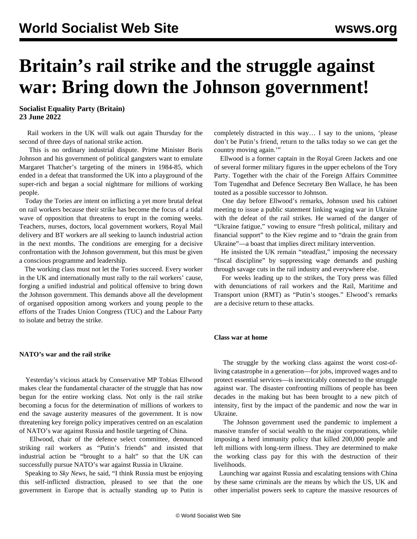# **Britain's rail strike and the struggle against war: Bring down the Johnson government!**

**Socialist Equality Party (Britain) 23 June 2022**

 Rail workers in the UK will walk out again Thursday for the second of three days of national strike action.

 This is no ordinary industrial dispute. Prime Minister Boris Johnson and his government of political gangsters want to emulate Margaret Thatcher's targeting of the miners in 1984-85, which ended in a defeat that transformed the UK into a playground of the super-rich and began a social nightmare for millions of working people.

 Today the Tories are intent on inflicting a yet more brutal defeat on rail workers because their strike has become the focus of a tidal wave of opposition that threatens to erupt in the coming weeks. Teachers, nurses, doctors, local government workers, Royal Mail delivery and BT workers are all seeking to launch industrial action in the next months. The conditions are emerging for a decisive confrontation with the Johnson government, but this must be given a conscious programme and leadership.

 The working class must not let the Tories succeed. Every worker in the UK and internationally must rally to the rail workers' cause, forging a unified industrial and political offensive to bring down the Johnson government. This demands above all the development of organised opposition among workers and young people to the efforts of the Trades Union Congress (TUC) and the Labour Party to isolate and betray the strike.

### **NATO's war and the rail strike**

 Yesterday's vicious attack by Conservative MP Tobias Ellwood makes clear the fundamental character of the struggle that has now begun for the entire working class. Not only is the rail strike becoming a focus for the determination of millions of workers to end the savage austerity measures of the government. It is now threatening key foreign policy imperatives centred on an escalation of NATO's war against Russia and hostile targeting of China.

 Ellwood, chair of the defence select committee, denounced striking rail workers as "Putin's friends" and insisted that industrial action be "brought to a halt" so that the UK can successfully pursue NATO's war against Russia in Ukraine.

 Speaking to *Sky News*, he said, "I think Russia must be enjoying this self-inflicted distraction, pleased to see that the one government in Europe that is actually standing up to Putin is

completely distracted in this way… I say to the unions, 'please don't be Putin's friend, return to the talks today so we can get the country moving again.'"

 Ellwood is a former captain in the Royal Green Jackets and one of several former military figures in the upper echelons of the Tory Party. Together with the chair of the Foreign Affairs Committee Tom Tugendhat and Defence Secretary Ben Wallace, he has been touted as a possible successor to Johnson.

 One day before Ellwood's remarks, Johnson used his cabinet meeting to issue a public statement linking waging war in Ukraine with the defeat of the rail strikes. He warned of the danger of "Ukraine fatigue," vowing to ensure "fresh political, military and financial support" to the Kiev regime and to "drain the grain from Ukraine"—a boast that implies direct military intervention.

 He insisted the UK remain "steadfast," imposing the necessary "fiscal discipline" by suppressing wage demands and pushing through savage cuts in the rail industry and everywhere else.

 For weeks leading up to the strikes, the Tory press was filled with denunciations of rail workers and the Rail, Maritime and Transport union (RMT) as "Putin's stooges." Elwood's remarks are a decisive return to these attacks.

### **Class war at home**

 The struggle by the working class against the worst cost-ofliving catastrophe in a generation—for jobs, improved wages and to protect essential services—is inextricably connected to the struggle against war. The disaster confronting millions of people has been decades in the making but has been brought to a new pitch of intensity, first by the impact of the pandemic and now the war in Ukraine.

 The Johnson government used the pandemic to implement a massive transfer of social wealth to the major corporations, while imposing a herd immunity policy that killed 200,000 people and left millions with long-term illness. They are determined to make the working class pay for this with the destruction of their livelihoods.

 Launching war against Russia and escalating tensions with China by these same criminals are the means by which the US, UK and other imperialist powers seek to capture the massive resources of